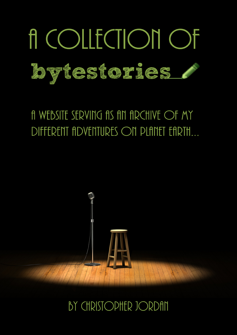

# A WEBSITE SERVING AS AN ARCHIVE OF MY DIFFERENT ADVENTURES ON PLANET EARTH...



## BY CHRISTOPHER JORDAN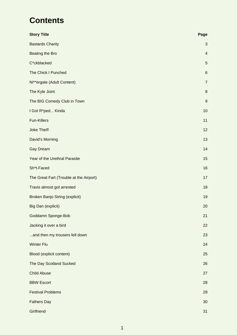## **Contents**

| <b>Story Title</b>                      | Page                    |
|-----------------------------------------|-------------------------|
| <b>Bastards Charity</b>                 | 3                       |
| <b>Beating the Bro</b>                  | $\overline{\mathbf{4}}$ |
| C*ckblacked                             | 5                       |
| The Chick I Punched                     | $\,6$                   |
| Ni**ergate (Adult Content)              | $\overline{7}$          |
| The Kyle Joint                          | $\,8\,$                 |
| The BIG Comedy Club in Town             | $\boldsymbol{9}$        |
| I Got R*ped Kinda                       | 10                      |
| <b>Fun-Killers</b>                      | 11                      |
| Joke Theif!                             | 12                      |
| David's Morning                         | 13                      |
| <b>Gay Dream</b>                        | 14                      |
| Year of the Urethral Parasite           | 15                      |
| Sh*t-Faced                              | 16                      |
| The Great Fart (Trouble at the Airport) | 17                      |
| Travis almost got arrested              | 18                      |
| Broken Banjo String (explicit)          | 19                      |
| Big Dan (explicit)                      | 20                      |
| Goddamn Sponge-Bob                      | 21                      |
| Jacking it over a bird                  | 22                      |
| and then my trousers fell down          | 23                      |
| <b>Winter Flu</b>                       | 24                      |
| Blood (explicit content)                | 25                      |
| The Day Scotland Sucked                 | 26                      |
| <b>Child Abuse</b>                      | 27                      |
| <b>BBW Escort</b>                       | 28                      |
| <b>Festival Problems</b>                | 29                      |
| <b>Fathers Day</b>                      | 30                      |
| Girlfriend                              | 31                      |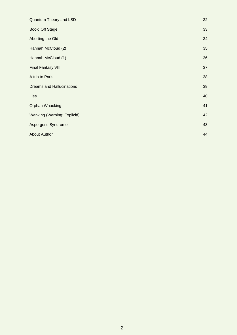| Quantum Theory and LSD           | 32 |
|----------------------------------|----|
| Boo'd Off Stage                  | 33 |
| Aborting the Old                 | 34 |
| Hannah McCloud (2)               | 35 |
| Hannah McCloud (1)               | 36 |
| <b>Final Fantasy VIII</b>        | 37 |
| A trip to Paris                  | 38 |
| <b>Dreams and Hallucinations</b> | 39 |
| Lies                             | 40 |
| <b>Orphan Whacking</b>           | 41 |
| Wanking (Warning: Explicit!)     | 42 |
| Asperger's Syndrome              | 43 |
| <b>About Author</b>              | 44 |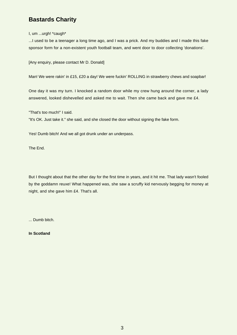### <span id="page-3-0"></span>**Bastards Charity**

I, um ...urgh! \*caugh\*

...I used to be a teenager a long time ago, and I was a prick. And my buddies and I made this fake sponsor form for a non-existent youth football team, and went door to door collecting 'donations'.

[Any enquiry, please contact Mr D. Donald]

Man! We were rakin' in £15, £20 a day! We were fuckin' ROLLING in strawberry chews and soapbar!

One day it was my turn. I knocked a random door while my crew hung around the corner, a lady answered, looked dishevelled and asked me to wait. Then she came back and gave me £4.

"That's too much!" I said.

"It's OK. Just take it." she said, and she closed the door without signing the fake form.

Yes! Dumb bitch! And we all got drunk under an underpass.

The End.

But I thought about that the other day for the first time in years, and it hit me. That lady wasn't fooled by the goddamn reuxe! What happened was, she saw a scruffy kid nervously begging for money at night, and she gave him £4. That's all.

... Dumb bitch.

**In Scotland**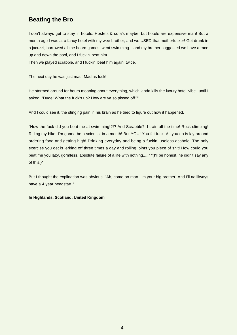### <span id="page-4-0"></span>**Beating the Bro**

I don't always get to stay in hotels. Hostels & sofa's maybe, but hotels are expensive man! But a month ago I was at a fancy hotel with my wee brother, and we USED that motherfucker! Got drunk in a jacuzzi, borrowed all the board games, went swimming... and my brother suggested we have a race up and down the pool, and I fuckin' beat him.

Then we played scrabble, and I fuckin' beat him again, twice.

The next day he was just mad! Mad as fuck!

He stormed around for hours moaning about everything, which kinda kills the luxury hotel 'vibe', until I asked, "Dude! What the fuck's up? How are ya so pissed off?"

And I could see it, the stinging pain in his brain as he tried to figure out how it happened.

"How the fuck did you beat me at swimming!?!? And Scrabble?! I train all the time! Rock climbing! Riding my bike! I'm gonna be a scientist in a month! But YOU! You fat fuck! All you do is lay around ordering food and getting high! Drinking everyday and being a fuckin' useless asshole! The only exercise you get is jerking off three times a day and rolling joints you piece of shit! How could you beat me you lazy, gormless, absolute failure of a life with nothing....." \*(I'll be honest, he didn't say any of this.)\*

But I thought the explination was obvious. "Ah, come on man. I'm your big brother! And I'll aallllways have a 4 year headstart."

#### **In Highlands, Scotland, United Kingdom**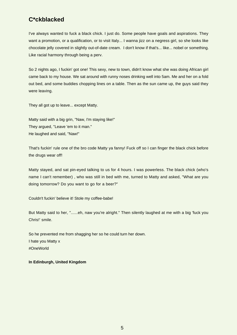### <span id="page-5-0"></span>**C\*ckblacked**

I've always wanted to fuck a black chick. I just do. Some people have goals and aspirations. They want a promotion, or a qualification, or to visit Italy... I wanna jizz on a negress girl, so she looks like chocolate jelly covered in slightly out-of-date cream. I don't know if that's... like... nobel or something. Like racial harmony through being a perv.

So 2 nights ago, I fuckin' got one! This sexy, new to town, didn't know what she was doing African girl came back to my house. We sat around with runny noses drinking well into 5am. Me and her on a fold out bed, and some buddies chopping lines on a table. Then as the sun came up, the guys said they were leaving.

They all got up to leave... except Matty.

Matty said with a big grin, "Naw, I'm staying like!" They argued, "Leave 'em to it man." He laughed and said, "Naw!"

That's fuckin' rule one of the bro code Matty ya fanny! Fuck off so I can finger the black chick before the drugs wear off!

Matty stayed, and sat pin-eyed talking to us for 4 hours. I was powerless. The black chick (who's name I can't remember) , who was still in bed with me, turned to Matty and asked, "What are you doing tomorrow? Do you want to go for a beer?"

Couldn't fuckin' believe it! Stole my coffee-babe!

But Matty said to her, "......eh, naw you're alright." Then silently laughed at me with a big 'fuck you Chris!' smile.

So he prevented me from shagging her so he could turn her down. I hate you Matty x #OneWorld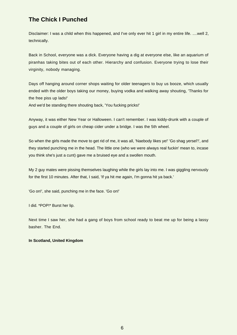### <span id="page-6-0"></span>**The Chick I Punched**

Disclaimer: I was a child when this happened, and I've only ever hit 1 girl in my entire life. ....well 2, technically.

Back in School, everyone was a dick. Everyone having a dig at everyone else, like an aquarium of piranhas taking bites out of each other. Hierarchy and confusion. Everyone trying to lose their virginity, nobody managing.

Days off hanging around corner shops waiting for older teenagers to buy us booze, which usually ended with the older boys taking our money, buying vodka and walking away shouting, 'Thanks for the free piss up lads!'

And we'd be standing there shouting back, 'You fucking pricks!'

Anyway, it was either New Year or Halloween. I can't remember. I was kiddy-drunk with a couple of guys and a couple of girls on cheap cider under a bridge. I was the 5th wheel.

So when the girls made the move to get rid of me, it was all, 'Naebody likes ye!' 'Go shag yersel'!', and they started punching me in the head. The little one (who we were always real fuckin' mean to, incase you think she's just a cunt) gave me a bruised eye and a swollen mouth.

My 2 guy mates were pissing themselves laughing while the girls lay into me. I was giggling nervously for the first 10 minutes. After that, I said, 'If ya hit me again, I'm gonna hit ya back.'

'Go on!', she said, punching me in the face. 'Go on!'

I did. \*POP!\* Burst her lip.

Next time I saw her, she had a gang of boys from school ready to beat me up for being a lassy basher. The End.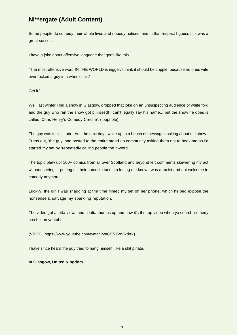### <span id="page-7-0"></span>**Ni\*\*ergate (Adult Content)**

Some people do comedy their whole lives and nobody notices, and in that respect I guess this was a great success.

I have a joke about offensive language that goes like this...

"The most offensive word IN THE WORLD is nigger. I think it should be cripple, because no ones wife ever fucked a guy in a wheelchair."

#### Get it?

Well last winter I did a show in Glasgow, dropped that joke on an unsuspecting audience of white folk, and the guy who ran the show got piiiiissed! I can't legally say his name... but the show he does is called 'Chris Henry's Comedy Creche'. (loophole)

The guy was fuckin' rude! And the next day I woke up to a bunch of messages asking about the show. Turns out, 'the guy' had posted to the entire stand-up community asking them not to book me as I'd started my set by 'repeatedly calling people the n-word'.

The topic blew up! 100+ comics from all over Scotland and beyond left comments skewering my act without seeing it, putting all their comedic tact into letting me know I was a racist and not welcome in comedy anymore.

Luckily, the girl I was shagging at the time filmed my set on her phone, which helped expose the nonsense & salvage my sparkling reputation.

The video got a lotta views and a lotta thumbs up and now it's the top video when ya search 'comedy creche' on youtube.

(VIDEO: https://www.youtube.com/watch?v=QE51WVlxdnY)

I have since heard the guy tried to hang himself, like a shit pinata.

#### **In Glasgow, United Kingdom**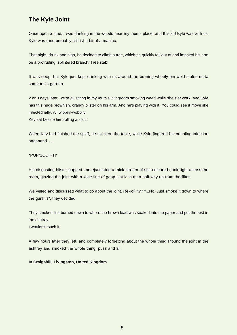### <span id="page-8-0"></span>**The Kyle Joint**

Once upon a time, I was drinking in the woods near my mums place, and this kid Kyle was with us. Kyle was (and probably still is) a bit of a maniac.

That night, drunk and high, he decided to climb a tree, which he quickly fell out of and impaled his arm on a protruding, splintered branch. Tree stab!

It was deep, but Kyle just kept drinking with us around the burning wheely-bin we'd stolen outta someone's garden.

2 or 3 days later, we're all sitting in my mum's livingroom smoking weed while she's at work, and Kyle has this huge brownish, orangy blister on his arm. And he's playing with it. You could see it move like infected jelly. All wibbily-wobbily.

Kev sat beside him rolling a spliff.

When Kev had finished the spliff, he sat it on the table, while Kyle fingered his bubbling infection aaaannnd......

#### \*POP/SQUIRT!\*

His disgusting blister popped and ejaculated a thick stream of shit-coloured gunk right across the room, glazing the joint with a wide line of goop just less than half way up from the filter.

We yelled and discussed what to do about the joint. Re-roll it?? "...No. Just smoke it down to where the gunk is", they decided.

They smoked til it burned down to where the brown load was soaked into the paper and put the rest in the ashtray.

I wouldn't touch it.

A few hours later they left, and completely forgetting about the whole thing I found the joint in the ashtray and smoked the whole thing, puss and all.

#### **In Craigshill, Livingston, United Kingdom**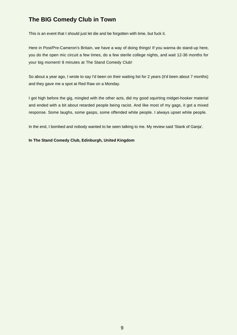### <span id="page-9-0"></span>**The BIG Comedy Club in Town**

This is an event that I should just let die and be forgotten with time, but fuck it.

Here in Post/Pre-Cameron's Britain, we have a way of doing things! If you wanna do stand-up here, you do the open mic circuit a few times, do a few sterile college nights, and wait 12-36 months for your big moment! 8 minutes at The Stand Comedy Club!

So about a year ago, I wrote to say I'd been on their waiting list for 2 years (it'd been about 7 months) and they gave me a spot at Red Raw on a Monday.

I got high before the gig, mingled with the other acts, did my good squirting midget-hooker material and ended with a bit about retarded people being racist. And like most of my gags, it got a mixed response. Some laughs, some gasps, some offended white people. I always upset white people.

In the end, I bombed and nobody wanted to be seen talking to me. My review said 'Stank of Ganja'.

#### **In The Stand Comedy Club, Edinburgh, United Kingdom**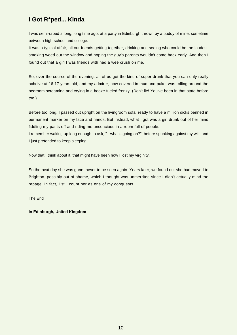### <span id="page-10-0"></span>**I Got R\*ped... Kinda**

I was semi-raped a long, long time ago, at a party in Edinburgh thrown by a buddy of mine, sometime between high-school and college.

It was a typical affair, all our friends getting together, drinking and seeing who could be the loudest, smoking weed out the window and hoping the guy's parents wouldn't come back early. And then I found out that a girl I was friends with had a wee crush on me.

So, over the course of the evening, all of us got the kind of super-drunk that you can only really acheive at 16-17 years old, and my admirer, now covered in mud and puke, was rolling around the bedroom screaming and crying in a booze fueled frenzy. (Don't lie! You've been in that state before too!)

Before too long, I passed out upright on the livingroom sofa, ready to have a million dicks penned in permanent marker on my face and hands. But instead, what I got was a girl drunk out of her mind fiddling my pants off and riding me unconcious in a room full of people.

I remember waking up long enough to ask, "...what's going on?", before spunking against my will, and I just pretended to keep sleeping.

Now that I think about it, that might have been how I lost my virginity.

So the next day she was gone, never to be seen again. Years later, we found out she had moved to Brighton, possibly out of shame, which I thought was unmerrited since I didn't actually mind the rapage. In fact, I still count her as one of my conquests.

The End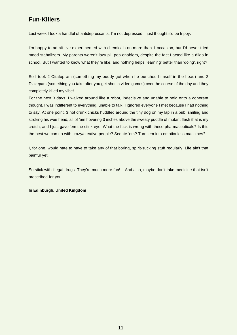### <span id="page-11-0"></span>**Fun-Killers**

Last week I took a handful of antidepressants. I'm not depressed. I just thought it'd be trippy.

I'm happy to admit I've experimented with chemicals on more than 1 occasion, but I'd never tried mood-stabalizers. My parents weren't lazy pill-pop-enablers, despite the fact I acted like a dildo in school. But I wanted to know what they're like, and nothing helps 'learning' better than 'doing', right?

So I took 2 Citalopram (something my buddy got when he punched himself in the head) and 2 Diazepam (something you take after you get shot in video games) over the course of the day and they completely killed my vibe!

For the next 3 days, I walked around like a robot, indecisive and unable to hold onto a coherent thought. I was indifferent to everything, unable to talk. I ignored everyone I met because I had nothing to say. At one point, 3 hot drunk chicks huddled around the tiny dog on my lap in a pub, smiling and stroking his wee head, all of 'em hovering 3 inches above the sweaty puddle of mutant flesh that is my crotch, and I just gave 'em the stink-eye! What the fuck is wrong with these pharmaceuticals? Is this the best we can do with crazy/creative people? Sedate 'em? Turn 'em into emotionless machines?

I, for one, would hate to have to take any of that boring, spirit-sucking stuff regularly. Life ain't that painful yet!

So stick with illegal drugs. They're much more fun! ...And also, maybe don't take medicine that isn't prescribed for you.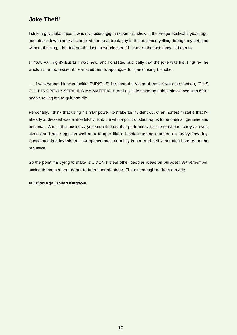### <span id="page-12-0"></span>**Joke Theif!**

I stole a guys joke once. It was my second gig, an open mic show at the Fringe Festival 2 years ago, and after a few minutes I stumbled due to a drunk guy in the audience yelling through my set, and without thinking, I blurted out the last crowd-pleaser I'd heard at the last show I'd been to.

I know. Fail, right? But as I was new, and I'd stated publically that the joke was his, I figured he wouldn't be too pissed if I e-mailed him to apologize for panic using his joke.

......I was wrong. He was fuckin' FURIOUS! He shared a video of my set with the caption, "THIS CUNT IS OPENLY STEALING MY MATERIAL!" And my little stand-up hobby blossomed with 600+ people telling me to quit and die.

Personally, I think that using his 'star power' to make an incident out of an honest mistake that I'd already addressed was a little bitchy. But, the whole point of stand-up is to be original, genuine and personal. And in this business, you soon find out that performers, for the most part, carry an oversized and fragile ego, as well as a temper like a lesbian getting dumped on heavy-flow day. Confidence is a lovable trait. Arrogance most certainly is not. And self veneration borders on the repulsive.

So the point I'm trying to make is... DON'T steal other peoples ideas on purpose! But remember, accidents happen, so try not to be a cunt off stage. There's enough of them already.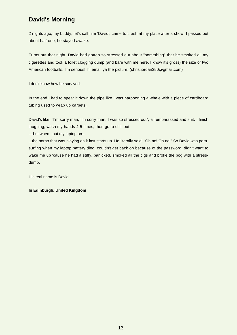### <span id="page-13-0"></span>**David's Morning**

2 nights ago, my buddy, let's call him 'David', came to crash at my place after a show. I passed out about half one, he stayed awake.

Turns out that night, David had gotten so stressed out about "something" that he smoked all my cigarettes and took a toilet clogging dump (and bare with me here, I know it's gross) the size of two American footballs. I'm serious! I'll email ya the picture! (chris.jordan350@gmail.com)

I don't know how he survived.

In the end I had to spear it down the pipe like I was harpooning a whale with a piece of cardboard tubing used to wrap up carpets.

David's like, "I'm sorry man, I'm sorry man, I was so stressed out", all embarassed and shit. I finish laughing, wash my hands 4-5 times, then go to chill out.

....but when I put my laptop on...

...the porno that was playing on it last starts up. He literally said, "Oh no! Oh no!" So David was pornsurfing when my laptop battery died, couldn't get back on because of the password, didn't want to wake me up 'cause he had a stiffy, panicked, smoked all the cigs and broke the bog with a stressdump.

His real name is David.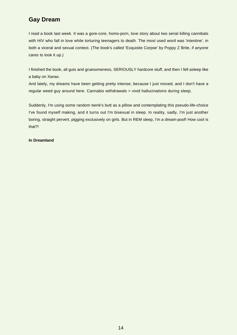### <span id="page-14-0"></span>**Gay Dream**

I read a book last week. It was a gore-core, homo-porn, love story about two serial killing cannibals with HIV who fall in love while torturing teenagers to death. The most used word was 'intestine', in both a viceral and sexual context. (The book's called 'Exquisite Corpse' by Poppy Z Brite, if anyone cares to look it up.)

I finished the book, all guts and gruesomeness, SERIOUSLY hardcore stuff, and then I fell asleep like a baby on Xanax.

And lately, my dreams have been getting pretty intense, because I just moved, and I don't have a regular weed guy around here. Cannabis withdrawals = vivid hallucinations during sleep.

Suddenly, I'm using some random twink's butt as a pillow and contemplating this pseudo-life-choice I've found myself making, and it turns out I'm bisexual in sleep. In reality, sadly, I'm just another boring, straight pervert, pigging exclusively on girls. But in REM sleep, I'm a dream-poof! How cool is that?!

#### **In Dreamland**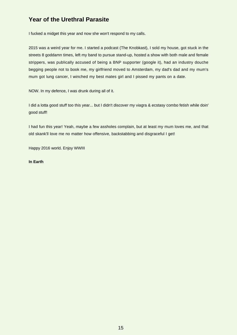### <span id="page-15-0"></span>**Year of the Urethral Parasite**

I fucked a midget this year and now she won't respond to my calls.

2015 was a weird year for me. I started a podcast (The Knobkast), I sold my house, got stuck in the streets 8 goddamn times, left my band to pursue stand-up, hosted a show with both male and female strippers, was publically accused of being a BNP supporter (google it), had an industry douche begging people not to book me, my girlfriend moved to Amsterdam, my dad's dad and my mum's mum got lung cancer, I winched my best mates girl and I pissed my pants on a date.

NOW. In my defence, I was drunk during all of it.

I did a lotta good stuff too this year... but I didn't discover my viagra & ecstasy combo fetish while doin' good stuff!

I had fun this year! Yeah, maybe a few assholes complain, but at least my mum loves me, and that old skank'll love me no matter how offensive, backstabbing and disgraceful I get!

Happy 2016 world. Enjoy WWIII

#### **In Earth**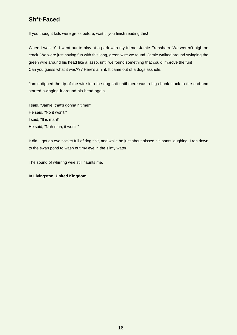### <span id="page-16-0"></span>**Sh\*t-Faced**

If you thought kids were gross before, wait til you finish reading this!

When I was 10, I went out to play at a park with my friend, Jamie Frensham. We weren't high on crack. We were just having fun with this long, green wire we found. Jamie walked around swinging the green wire around his head like a lasso, until we found something that could improve the fun! Can you guess what it was??? Here's a hint. It came out of a dogs asshole.

Jamie dipped the tip of the wire into the dog shit until there was a big chunk stuck to the end and started swinging it around his head again.

I said, "Jamie, that's gonna hit me!" He said, "No it won't." I said, "It is man!" He said, "Nah man, it won't."

It did. I got an eye socket full of dog shit, and while he just about pissed his pants laughing, I ran down to the swan pond to wash out my eye in the slimy water.

The sound of whirring wire still haunts me.

#### **In Livingston, United Kingdom**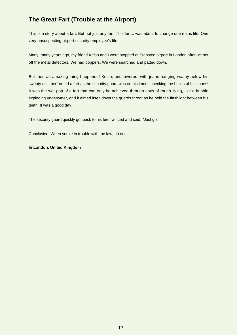### <span id="page-17-0"></span>**The Great Fart (Trouble at the Airport)**

This is a story about a fart. But not just any fart. This fart... was about to change one mans life. One very unsuspecting airport security employee's life.

Many, many years ago, my friend Kelso and I were stopped at Stansted airport in London after we set off the metal detectors. We had poppers. We were searched and patted down.

But then an amazing thing happened! Kelso, unshowered, with jeans hanging waaay below his sweaty ass, performed a fart as the security guard was on his knees checking the backs of his shoes! It was the wet pop of a fart that can only be achieved through days of rough living, like a bubble exploding underwater, and it aimed itself down the guards throat as he held the flashlight between his teeth. It was a good day.

The security guard quickly got back to his feet, winced and said, "Just go."

Conclusion: When you're in trouble with the law, rip one.

#### **In London, United Kingdom**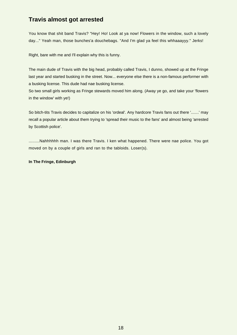### <span id="page-18-0"></span>**Travis almost got arrested**

You know that shit band Travis? "Hey! Ho! Look at ya now! Flowers in the window, such a lovely day..." Yeah man, those bunches'a douchebags. "And I'm glad ya feel this whhaaayyy." Jerks!

Right, bare with me and I'll explain why this is funny.

The main dude of Travis with the big head, probably called Travis, I dunno, showed up at the Fringe last year and started busking in the street. Now... everyone else there is a non-famous performer with a busking license. This dude had nae busking license.

So two small girls working as Fringe stewards moved him along. (Away ye go, and take your 'flowers in the window' with ye!)

So bitch-tits Travis decides to capitalize on his 'ordeal'. Any hardcore Travis fans out there '.......' may recall a popular article about them trying to 'spread their music to the fans' and almost being 'arrested by Scottish police'.

.........Nahhhhhh man. I was there Travis. I ken what happened. There were nae police. You got moved on by a couple of girls and ran to the tabloids. Loser(s).

**In The Fringe, Edinburgh**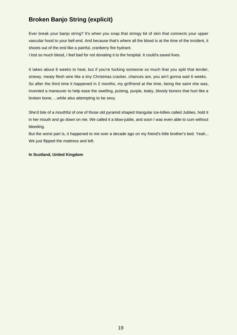### <span id="page-19-0"></span>**Broken Banjo String (explicit)**

Ever break your banjo string? It's when you snap that stringy bit of skin that connects your upper vascular hood to your bell-end. And because that's where all the blood is at the time of the incident, it shoots out of the end like a painful, cranberry fire hydrant.

I lost so much blood, I feel bad for not donating it to the hospital. It could'a saved lives.

It takes about 6 weeks to heal, but if you're fucking someone so much that you split that tender, sinewy, meaty flesh wire like a tiny Christmas cracker, chances are, you ain't gonna wait 6 weeks. So after the third time it happened in 2 months, my girlfriend at the time, being the saint she was, invented a maneuver to help ease the swelling, pulsing, purple, leaky, bloody boners that hurt like a broken bone, ...while also attempting to be sexy.

She'd bite of a mouthful of one of those old pyramid shaped triangular ice-lollies called Jublies, hold it in her mouth and go down on me. We called it a blow-jublie, and soon I was even able to cum without bleeding.

But the worst part is, it happened to me over a decade ago on my friend's little brother's bed. Yeah... We just flipped the mattress and left.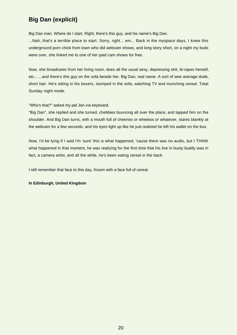### <span id="page-20-0"></span>**Big Dan (explicit)**

Big Dan man. Where do I start. Right, there's this guy, and his name's Big Dan.

...Nah, that's a terrible place to start. Sorry, right... em... Back in the myspace days, I knew this underground porn chick from town who did webcam shows, and long story short, on a night my buds were over, she linked me to one of her paid cam shows for free.

Now, she broadcasts from her living room, does all the usual sexy, depressing shit, tit-rapes herself, etc... ...and there's this guy on the sofa beside her. Big Dan, real name. A sort of wee average dude, short hair. He's sitting in his boxers, slumped in the sofa, watching TV and munching cereal. Total Sunday night mode.

"Who's that?" asked my pal Jan via keyboard.

"Big Dan", she replied and she turned, chebbies bouncing all over the place, and tapped him on the shoulder. And Big Dan turns, with a mouth full of cheerios or wheetos or whatever, stares blankly at the webcam for a few seconds, and his eyes light up like he just realized he left his wallet on the bus.

Now, I'd be lying if I said I'm 'sure' this is what happened, 'cause there was no audio, but I THINK what happened in that moment, he was realizing for the first time that his live in busty buddy was in fact, a camera artist, and all the while, he's been eating cereal in the back.

I still remember that face to this day, frozen with a face full of cereal.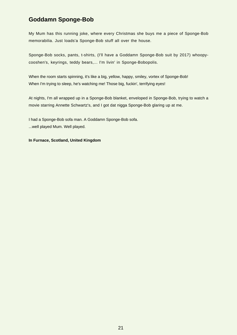### <span id="page-21-0"></span>**Goddamn Sponge-Bob**

My Mum has this running joke, where every Christmas she buys me a piece of Sponge-Bob memorabilia. Just loads'a Sponge-Bob stuff all over the house.

Sponge-Bob socks, pants, t-shirts, (I'll have a Goddamn Sponge-Bob suit by 2017) whoopycooshen's, keyrings, teddy bears,... I'm livin' in Sponge-Bobopolis.

When the room starts spinning, it's like a big, yellow, happy, smiley, vortex of Sponge-Bob! When I'm trying to sleep, he's watching me! Those big, fuckin', terrifying eyes!

At nights, I'm all wrapped up in a Sponge-Bob blanket, enveloped in Sponge-Bob, trying to watch a movie starring Annette Schwartz's, and I got dat nigga Sponge-Bob glaring up at me.

I had a Sponge-Bob sofa man. A Goddamn Sponge-Bob sofa. ...well played Mum. Well played.

#### **In Furnace, Scotland, United Kingdom**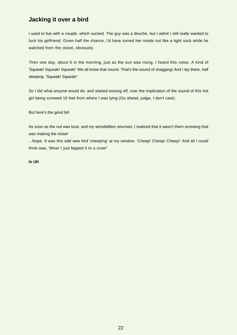### <span id="page-22-0"></span>**Jacking it over a bird**

I used to live with a couple, which sucked. The guy was a douche, but I admit I still really wanted to fuck his girlfriend. Given half the chance, I'd have turned her inside out like a tight sock while he watched from the closet, obviously.

Then one day, about 6 in the morning, just as the sun was rising, I heard this noise. A kind of 'Squeak! Squeak! Squeak!' We all know that sound. That's the sound of shagging! And I lay there, half sleeping. 'Squeak! Squeak!'

So I did what anyone would do, and started tossing off, over the implication of the sound of this hot girl being screwed 10 feet from where I was lying (Go ahead, judge, I don't care).

But here's the good bit!

As soon as the nut was bust, and my sensibilities returned, I realized that it wasn't them screwing that was making the noise!

...Nope. It was this odd wee bird 'cheeping' at my window. 'Cheep! Cheep! Cheep!' And all I could think was, 'Wow! I just fapped it to a crow!'

**In UK**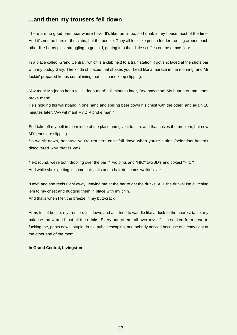### <span id="page-23-0"></span>**...and then my trousers fell down**

There are no good bars near where I live. It's like fun limbo, so I drink in my house most of the time. And it's not the bars or the clubs, but the people. They all look like prison fodder, rooting around each other like horny pigs, struggling to get laid, getting into their little scuffles on the dance floor.

In a place called 'Grand Central', which is a club next to a train station, I got shit faced at the shots bar with my buddy Gary. The kinda shitfaced that shakes your head like a maraca in the morning, and Mr fuckin' prepared keeps complaining that his jeans keep slipping.

"Aw man! Ma jeans keep fallin' doon man!" 10 minutes later, "Aw naw man! My button on ma jeans broke man!"

He's holding his waistband in one hand and spilling beer down his chest with the other, and again 10 minutes later, "Aw wit man! My ZIP broke man!"

So I take off my belt in the middle of the place and give it to him, and that solves the problem, but now MY jeans are slipping.

So we sit down, because you're trousers can't fall down when you're sitting (scientists haven't discovered why that is yet).

Next round, we're both drooling over the bar, "Two pints and \*HIC\* two JD's and cokes! \*HIC\*" And while she's getting it, some pair-a tits and a hair-do comes walkin' over.

"Hey!" and she reels Gary away, leaving me at the bar to get the drinks. ALL the drinks! I'm clutching 'em to my chest and hugging them in place with my chin. And that's when I felt the breeze in my butt-crack.

Arms full of booze, my trousers fell down, and as I tried to waddle like a duck to the nearest table, my balance threw and I lost all the drinks. Every one of em, all over myself. I'm soaked from head to fucking toe, pants down, stupid drunk, pubes escaping, and nobody noticed because of a chav fight at the other end of the room.

#### **In Grand Central, Livingston**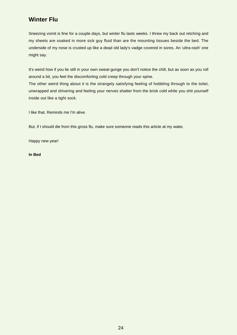### <span id="page-24-0"></span>**Winter Flu**

Sneezing vomit is fine for a couple days, but winter flu lasts weeks. I threw my back out retching and my sheets are soaked in more sick guy fluid than are the mounting tissues beside the bed. The underside of my nose is crusted up like a dead old lady's vadge covered in sores. An 'ultra-rash' one might say.

It's weird how if you lie still in your own sweat-gunge you don't notice the chill, but as soon as you roll around a bit, you feel the discomforting cold creep through your spine. The other weird thing about it is the strangely satisfying feeling of hobbling through to the toilet, unwrapped and shivering and feeling your nerves shatter from the brisk cold while you shit yourself

inside out like a tight sock.

I like that. Reminds me I'm alive.

But, if I should die from this gross flu, make sure someone reads this article at my wake.

Happy new year!

**In Bed**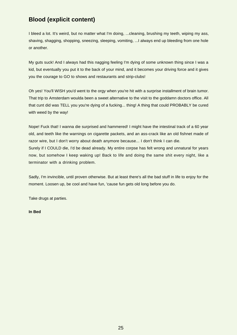### <span id="page-25-0"></span>**Blood (explicit content)**

I bleed a lot. It's weird, but no matter what I'm doing, ...cleaning, brushing my teeth, wiping my ass, shaving, shagging, shopping, sneezing, sleeping, vomiting, ...I always end up bleeding from one hole or another.

My guts suck! And I always had this nagging feeling I'm dying of some unknown thing since I was a kid, but eventually you put it to the back of your mind, and it becomes your driving force and it gives you the courage to GO to shows and restaurants and strip-clubs!

Oh yes! You'll WISH you'd went to the orgy when you're hit with a surprise installment of brain tumor. That trip to Amsterdam woulda been a sweet alternative to the visit to the goddamn doctors office. All that cunt did was TELL you you're dying of a fucking... thing! A thing that could PROBABLY be cured with weed by the way!

Nope! Fuck that! I wanna die surprised and hammered! I might have the intestinal track of a 60 year old, and teeth like the warnings on cigarette packets, and an ass-crack like an old fishnet made of razor wire, but I don't worry about death anymore because... I don't think I can die. Surely if I COULD die, I'd be dead already. My entire corpse has felt wrong and unnatural for years now, but somehow I keep waking up! Back to life and doing the same shit every night, like a terminator with a drinking problem.

Sadly, I'm invincible, until proven otherwise. But at least there's all the bad stuff in life to enjoy for the moment. Loosen up, be cool and have fun, 'cause fun gets old long before you do.

Take drugs at parties.

#### **In Bed**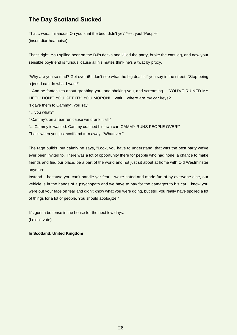### <span id="page-26-0"></span>**The Day Scotland Sucked**

That... was... hilarious! Oh you shat the bed, didn't ye? Yes, you! 'People'! (insert diarrhea noise)

That's right! You spilled beer on the DJ's decks and killed the party, broke the cats leg, and now your sensible boyfriend is furious 'cause all his mates think he's a twat by proxy.

"Why are you so mad? Get over it! I don't see what the big deal is!" you say in the street. "Stop being a jerk! I can do what I want!"

...And he fantasizes about grabbing you, and shaking you, and screaming... "YOU'VE RUINED MY LIFE!!! DON'T YOU GET IT!? YOU MORON! ...wait ...where are my car keys?"

"I gave them to Cammy", you say.

" ...you what?"

" Cammy's on a fear run cause we drank it all."

"... Cammy is wasted. Cammy crashed his own car. CAMMY RUNS PEOPLE OVER!"

That's when you just scoff and turn away. "Whatever."

The rage builds, but calmly he says, "Look, you have to understand, that was the best party we've ever been invited to. There was a lot of opportunity there for people who had none, a chance to make friends and find our place, be a part of the world and not just sit about at home with Old Westminster anymore.

Instead... because you can't handle yer fear... we're hated and made fun of by everyone else, our vehicle is in the hands of a psychopath and we have to pay for the damages to his cat. I know you were out your face on fear and didn't know what you were doing, but still, you really have spoiled a lot of things for a lot of people. You should apologize."

It's gonna be tense in the house for the next few days.

(I didn't vote)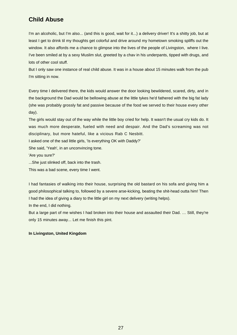### <span id="page-27-0"></span>**Child Abuse**

I'm an alcoholic, but I'm also... (and this is good, wait for it...) a delivery driver! It's a shitty job, but at least I get to drink til my thoughts get colorful and drive around my hometown smoking spliffs out the window. It also affords me a chance to glimpse into the lives of the people of Livingston, where I live. I've been smiled at by a sexy Muslim slut, greeted by a chav in his underpants, tipped with drugs, and lots of other cool stuff.

But I only saw one instance of real child abuse. It was in a house about 15 minutes walk from the pub I'm sitting in now.

Every time I delivered there, the kids would answer the door looking bewildered, scared, dirty, and in the background the Dad would be bellowing abuse at the little tykes he'd fathered with the big fat lady (she was probably grossly fat and passive because of the food we served to their house every other day).

The girls would stay out of the way while the little boy cried for help. It wasn't the usual cry kids do. It was much more desperate, fueled with need and despair. And the Dad's screaming was not disciplinary, but more hateful, like a vicious Rab C Nesbitt.

I asked one of the sad little girls, 'Is everything OK with Daddy?'

She said, 'Yeah', in an unconvincing tone.

'Are you sure?'

...She just slinked off, back into the trash.

This was a bad scene, every time I went.

I had fantasies of walking into their house, surprising the old bastard on his sofa and giving him a good philosophical talking to, followed by a severe arse-kicking, beating the shit-head outta him! Then I had the idea of giving a diary to the little girl on my next delivery (writing helps).

In the end, I did nothing.

But a large part of me wishes I had broken into their house and assaulted their Dad. … Still, they're only 15 minutes away... Let me finish this pint.

#### **In Livingston, United Kingdom**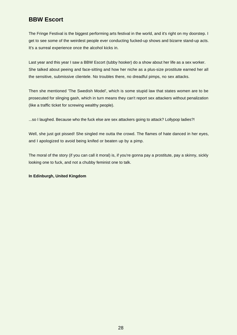### <span id="page-28-0"></span>**BBW Escort**

The Fringe Festival is the biggest performing arts festival in the world, and it's right on my doorstep. I get to see some of the weirdest people ever conducting fucked-up shows and bizarre stand-up acts. It's a surreal experience once the alcohol kicks in.

Last year and this year I saw a BBW Escort (tubby hooker) do a show about her life as a sex worker. She talked about peeing and face-sitting and how her niche as a plus-size prostitute earned her all the sensitive, submissive clientele. No troubles there, no dreadful pimps, no sex attacks.

Then she mentioned 'The Swedish Model', which is some stupid law that states women are to be prosecuted for slinging gash, which in turn means they can't report sex attackers without penalization (like a traffic ticket for screwing wealthy people).

...so I laughed. Because who the fuck else are sex attackers going to attack? Lollypop ladies?!

Well, she just got pissed! She singled me outta the crowd. The flames of hate danced in her eyes, and I apologized to avoid being knifed or beaten up by a pimp.

The moral of the story (if you can call it moral) is, if you're gonna pay a prostitute, pay a skinny, sickly looking one to fuck, and not a chubby feminist one to talk.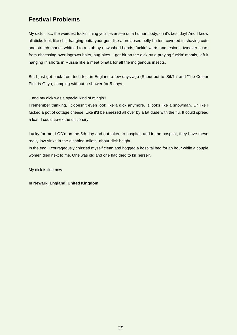### <span id="page-29-0"></span>**Festival Problems**

My dick... is... the weirdest fuckin' thing you'll ever see on a human body, on it's best day! And I know all dicks look like shit, hanging outta your gunt like a prolapsed belly-button, covered in shaving cuts and stretch marks, whittled to a stub by unwashed hands, fuckin' warts and lesions, tweezer scars from obsessing over ingrown hairs, bug bites. I got bit on the dick by a praying fuckin' mantis, left it hanging in shorts in Russia like a meat pinata for all the indigenous insects.

But I just got back from tech-fest in England a few days ago (Shout out to 'SikTh' and 'The Colour Pink is Gay'), camping without a shower for 5 days...

...and my dick was a special kind of mingin'!

I remember thinking, 'It doesn't even look like a dick anymore. It looks like a snowman. Or like I fucked a pot of cottage cheese. Like it'd be sneezed all over by a fat dude with the flu. It could spread a loaf. I could tip-ex the dictionary!'

Lucky for me, I OD'd on the 5th day and got taken to hospital, and in the hospital, they have these really low sinks in the disabled toilets, about dick height.

In the end, I courageously chizzled myself clean and hogged a hospital bed for an hour while a couple women died next to me. One was old and one had tried to kill herself.

My dick is fine now.

**In Newark, England, United Kingdom**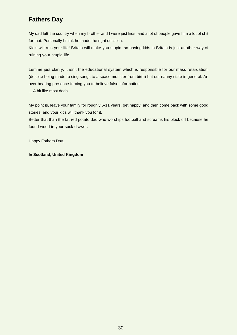### <span id="page-30-0"></span>**Fathers Day**

My dad left the country when my brother and I were just kids, and a lot of people gave him a lot of shit for that. Personally I think he made the right decision.

Kid's will ruin your life! Britain will make you stupid, so having kids in Britain is just another way of ruining your stupid life.

Lemme just clarify, it isn't the educational system which is responsible for our mass retardation, (despite being made to sing songs to a space monster from birth) but our nanny state in general. An over bearing presence forcing you to believe false information.

... A bit like most dads.

My point is, leave your family for roughly 6-11 years, get happy, and then come back with some good stories, and your kids will thank you for it.

Better that than the fat red potato dad who worships football and screams his block off because he found weed in your sock drawer.

Happy Fathers Day.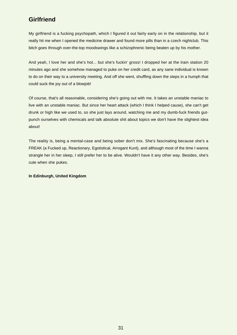### <span id="page-31-0"></span>**Girlfriend**

My girlfriend is a fucking psychopath, which I figured it out fairly early on in the relationship, but it really hit me when I opened the medicine drawer and found more pills than in a czech nightclub. This bitch goes through over-the-top moodswings like a schizophrenic being beaten up by his mother.

And yeah, I love her and she's hot... but she's fuckin' gross! I dropped her at the train station 20 minutes ago and she somehow managed to puke on her credit card, as any sane individual is known to do on their way to a university meeting. And off she went, shuffling down the steps in a humph that could suck the joy out of a blowjob!

Of course, that's all reasonable, considering she's going out with me. It takes an unstable maniac to live with an unstable maniac. But since her heart attack (which I think I helped cause), she can't get drunk or high like we used to, so she just lays around, watching me and my dumb-fuck friends gutpunch ourselves with chemicals and talk absolute shit about topics we don't have the slightest idea about!

The reality is, being a mental-case and being sober don't mix. She's fascinating because she's a FREAK (a Fucked up, Reactionary, Egotistical, Arrogant Kunt), and although most of the time I wanna strangle her in her sleep, I still prefer her to be alive. Wouldn't have it any other way. Besides, she's cute when she pukes.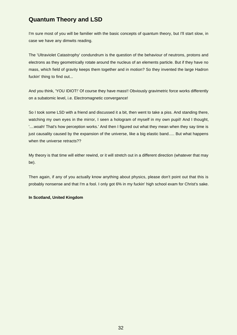### <span id="page-32-0"></span>**Quantum Theory and LSD**

I'm sure most of you will be familier with the basic concepts of quantum theory, but I'll start slow, in case we have any dimwits reading.

The 'Ultraviolet Catastrophy' condundrum is the question of the behaviour of neutrons, protons and electrons as they geometrically rotate around the nucleus of an elements particle. But if they have no mass, which field of gravity keeps them together and in motion? So they invented the large Hadron fuckin' thing to find out...

And you think, 'YOU IDIOT!' Of course they have mass!! Obviously gravimetric force works differently on a subatomic level, i.e. Electromagnetic convergance!

So I took some LSD with a friend and discussed it a bit, then went to take a piss. And standing there, watching my own eyes in the mirror, I seen a hologram of myself in my own pupil! And I thought, '....woah! That's how perception works.' And then I figured out what they mean when they say time is just causality caused by the expansion of the universe, like a big elastic band..... But what happens when the universe retracts??

My theory is that time will either rewind, or it will stretch out in a different direction (whatever that may be).

Then again, if any of you actually know anything about physics, please don't point out that this is probably nonsense and that I'm a fool. I only got 6% in my fuckin' high school exam for Christ's sake.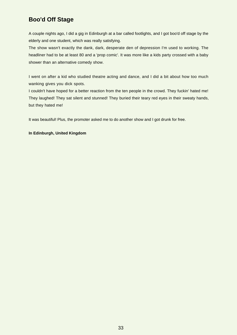### <span id="page-33-0"></span>**Boo'd Off Stage**

A couple nights ago, I did a gig in Edinburgh at a bar called footlights, and I got boo'd off stage by the elderly and one student, which was really satisfying.

The show wasn't exactly the dank, dark, desperate den of depression I'm used to working. The headliner had to be at least 80 and a 'prop comic'. It was more like a kids party crossed with a baby shower than an alternative comedy show.

I went on after a kid who studied theatre acting and dance, and I did a bit about how too much wanking gives you dick spots.

I couldn't have hoped for a better reaction from the ten people in the crowd. They fuckin' hated me! They laughed! They sat silent and stunned! They buried their teary red eyes in their sweaty hands, but they hated me!

It was beautiful! Plus, the promoter asked me to do another show and I got drunk for free.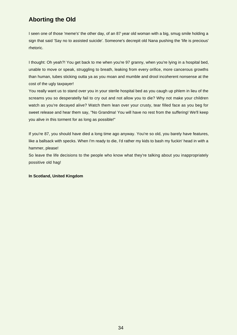### <span id="page-34-0"></span>**Aborting the Old**

I seen one of those 'meme's' the other day, of an 87 year old woman with a big, smug smile holding a sign that said 'Say no to assisted suicide'. Someone's decrepit old Nana pushing the 'life is precious' rhetoric.

I thought: Oh yeah?! You get back to me when you're 97 granny, when you're lying in a hospital bed, unable to move or speak, struggling to breath, leaking from every orifice, more cancerous growths than human, tubes sticking outta ya as you moan and mumble and drool incoherent nonsense at the cost of the ugly taxpayer!

You really want us to stand over you in your sterile hospital bed as you caugh up phlem in lieu of the screams you so desperatelly fail to cry out and not allow you to die? Why not make your children watch as you're decayed alive? Watch them lean over your crusty, tear filled face as you beg for sweet release and hear them say, "No Grandma! You will have no rest from the suffering! We'll keep you alive in this torment for as long as possible!"

If you're 87, you should have died a long time ago anyway. You're so old, you barely have features, like a ballsack with specks. When I'm ready to die, I'd rather my kids to bash my fuckin' head in with a hammer, please!

So leave the life decisions to the people who know what they're talking about you inappropriately possitive old hag!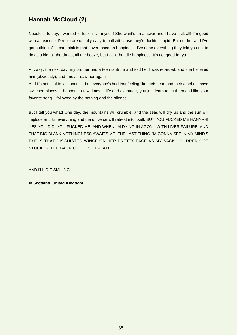### <span id="page-35-0"></span>**Hannah McCloud (2)**

Needless to say, I wanted to fuckin' kill myself! She want's an answer and I have fuck all! I'm good with an excuse. People are usually easy to bullshit cause they're fuckin' stupid. But not her and I've got nothing! All I can think is that I overdosed on happiness. I've done everything they told you not to do as a kid, all the drugs, all the booze, but I can't handle happiness. It's not good for ya.

Anyway, the next day, my brother had a teen tantrum and told her I was retarded, and she believed him (obviously), and I never saw her again.

And it's not cool to talk about it, but everyone's had that feeling like their heart and their arsehole have switched places. It happens a few times in life and eventually you just learn to let them end like your favorite song... followed by the nothing and the silence.

But I tell you what! One day, the mountains will crumble, and the seas will dry up and the sun will implode and kill everything and the universe will retreat into itself, BUT YOU FUCKED ME HANNAH! YES YOU DID! YOU FUCKED ME! AND WHEN I'M DYING IN AGONY WITH LIVER FAILURE, AND THAT BIG BLANK NOTHINGNESS AWAITS ME, THE LAST THING I'M GONNA SEE IN MY MIND'S EYE IS THAT DISGUISTED WINCE ON HER PRETTY FACE AS MY SACK CHILDREN GOT STUCK IN THE BACK OF HER THROAT!

AND I'LL DIE SMILING!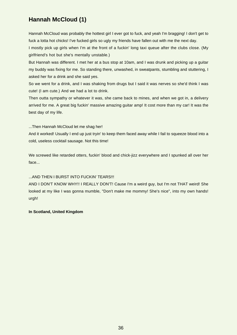### <span id="page-36-0"></span>**Hannah McCloud (1)**

Hannah McCloud was probably the hottest girl I ever got to fuck, and yeah I'm bragging! I don't get to fuck a lotta hot chicks! I've fucked girls so ugly my friends have fallen out with me the next day.

I mostly pick up girls when I'm at the front of a fuckin' long taxi queue after the clubs close. (My girlfriend's hot but she's mentally unstable.)

But Hannah was different. I met her at a bus stop at 10am, and I was drunk and picking up a guitar my buddy was fixing for me. So standing there, unwashed, in sweatpants, stumbling and stuttering, I asked her for a drink and she said yes.

So we went for a drink, and I was shaking from drugs but I said it was nerves so she'd think I was cute! (I am cute.) And we had a lot to drink.

Then outta sympathy or whatever it was, she came back to mines, and when we got in, a delivery arrived for me. A great big fuckin' massive amazing guitar amp! It cost more than my car! It was the best day of my life.

...Then Hannah McCloud let me shag her!

And it worked! Usually I end up just tryin' to keep them faced away while I fail to squeeze blood into a cold, useless cocktail sausage. Not this time!

We screwed like retarded otters, fuckin' blood and chick-jizz everywhere and I spunked all over her face...

#### ...AND THEN I BURST INTO FUCKIN' TEARS!!!

AND I DON'T KNOW WHY!! I REALLY DON'T! Cause I'm a weird guy, but I'm not THAT weird! She looked at my like I was gonna mumble, "Don't make me mommy! She's nice", into my own hands! urgh!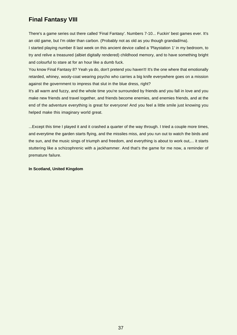### <span id="page-37-0"></span>**Final Fantasy VIII**

There's a game series out there called 'Final Fantasy'. Numbers 7-10... Fuckin' best games ever. It's an old game, but I'm older than carbon. (Probably not as old as you though grandad/ma).

I started playing number 8 last week on this ancient device called a 'Playstation 1' in my bedroom, to try and relive a treasured (albiet digitally rendered) childhood memory, and to have something bright and colourful to stare at for an hour like a dumb fuck.

You know Final Fantasy 8? Yeah ya do, don't pretend you haven't! It's the one where that emotionally retarded, whiney, wooly-coat wearing psycho who carries a big knife everywhere goes on a mission against the government to impress that slut in the blue dress, right?

It's all warm and fuzzy, and the whole time you're surrounded by friends and you fall in love and you make new friends and travel together, and friends become enemies, and enemies friends, and at the end of the adventure everything is great for everyone! And you feel a little smile just knowing you helped make this imaginary world great.

...Except this time I played it and it crashed a quarter of the way through. I tried a couple more times, and everytime the garden starts flying, and the missiles miss, and you run out to watch the birds and the sun, and the music sings of triumph and freedom, and everything is about to work out,... it starts stuttering like a schizophrenic with a jackhammer. And that's the game for me now, a reminder of premature failure.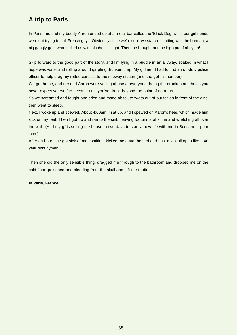### <span id="page-38-0"></span>**A trip to Paris**

In Paris, me and my buddy Aaron ended up at a metal bar called the 'Black Dog' while our girlfriends were out trying to pull French guys. Obviously since we're cool, we started chatting with the barman, a big gangly goth who fuelled us with alcohol all night. Then, he brought out the high proof absynth!

Skip forward to the good part of the story, and I'm lying in a puddle in an allyway, soaked in what I hope was water and rolling around gargling drunken crap. My girlfriend had to find an off-duty police officer to help drag my rotted carcass to the subway station (and she got his number).

We got home, and me and Aaron were yelling abuse at everyone, being the drunken arseholes you never expect yourself to become until you've drank beyond the point of no return.

So we screamed and fought and cried and made absolute twats out of ourselves in front of the girls, then went to sleep.

Next, I woke up and spewed. About 4:00am. I sat up, and I spewed on Aaron's head which made him sick on my feet. Then I got up and ran to the sink, leaving footprints of slime and wretching all over the wall. (And my gf is selling the house in two days to start a new life with me in Scotland... poor lass.)

After an hour, she got sick of me vomiting, kicked me outta the bed and bust my skull open like a 40 year olds hymen.

Then she did the only sensible thing, dragged me through to the bathroom and dropped me on the cold floor, poisoned and bleeding from the skull and left me to die.

#### **In Paris, France**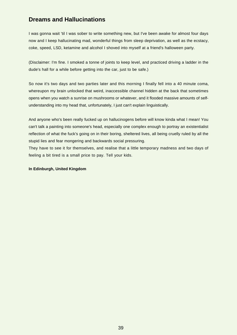### <span id="page-39-0"></span>**Dreams and Hallucinations**

I was gonna wait 'til I was sober to write something new, but I've been awake for almost four days now and I keep hallucinating mad, wonderful things from sleep deprivation, as well as the ecstacy, coke, speed, LSD, ketamine and alcohol I shoved into myself at a friend's halloween party.

(Disclaimer: I'm fine. I smoked a tonne of joints to keep level, and practiced driving a ladder in the dude's hall for a while before getting into the car, just to be safe.)

So now it's two days and two parties later and this morning I finally fell into a 40 minute coma, whereupon my brain unlocked that weird, inaccessible channel hidden at the back that sometimes opens when you watch a sunrise on mushrooms or whatever, and it flooded massive amounts of selfunderstanding into my head that, unfortunately, I just can't explain linguistically.

And anyone who's been really fucked up on hallucinogens before will know kinda what I mean! You can't talk a painting into someone's head, especially one complex enough to portray an existentialist reflection of what the fuck's going on in their boring, sheltered lives, all being cruelly ruled by all the stupid lies and fear mongering and backwards social pressuring.

They have to see it for themselves, and realise that a little temporary madness and two days of feeling a bit tired is a small price to pay. Tell your kids.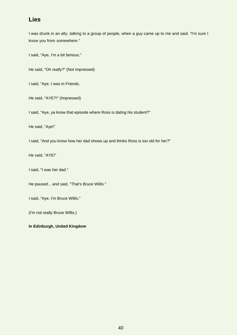### <span id="page-40-0"></span>**Lies**

I was drunk in an ally, talking to a group of people, when a guy came up to me and said, "I'm sure I know you from somewhere."

I said, "Aye, I'm a bit famous."

He said, "Oh really?" (Not impressed)

I said, "Aye, I was in Friends.

He said, "AYE?!" (Impressed)

I said, "Aye, ya know that episode where Ross is dating his student?"

He said, "Aye!"

I said, "And you know how her dad shows up and thinks Ross is too old for her?"

He said, "AYE!"

I said, "I was her dad."

He paused... and said, "That's Bruce Willis."

I said, "Aye, I'm Bruce Willis."

(I'm not really Bruce Willis.)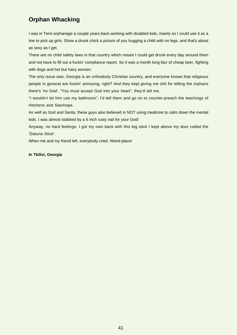### <span id="page-41-0"></span>**Orphan Whacking**

I was in Temi orphanage a couple years back working with disabled kids, mainly so I could use it as a line to pick up girls. Show a drunk chick a picture of you hugging a child with no legs, and that's about as sexy as I get.

There are no child safety laws in that country which meant I could get drunk every day around them and not have to fill out a fuckin' compliance report. So it was a month long blur of cheap beer, fighting with dogs and hot but hairy women.

The only issue was, Georgia is an orthodoxly Christian country, and everyone knows that religeous people in general are fuckin' annoying, right? And they kept giving me shit for telling the orphans there's 'no God'. "You must accept God into your heart", they'd tell me.

"I wouldn't let him use my bathroom", I'd tell them and go on to counter-preach the teachings of Hitchens and Stanhope.

As well as God and Santa, these guys also believed in NOT using medicine to calm down the mental kids. I was almost stabbed by a 6 inch rusty nail for your God!

Anyway, no hard feelings. I got my own back with this big stick I kept above my door called the 'Datuna Stick'.

When me and my friend left, everybody cried. Weird place!

#### **In Tbilisi, Georgia**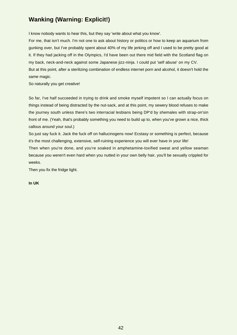### <span id="page-42-0"></span>**Wanking (Warning: Explicit!)**

I know nobody wants to hear this, but they say 'write about what you know'.

For me, that isn't much. I'm not one to ask about history or politics or how to keep an aquarium from gunking over, but I've probably spent about 40% of my life jerking off and I used to be pretty good at it. If they had jacking off in the Olympics, I'd have been out there mid field with the Scotland flag on my back, neck-and-neck against some Japanese jizz-ninja. I could put 'self abuse' on my CV. But at this point, after a sterilizing combination of endless internet porn and alcohol, it doesn't hold the same magic.

So naturally you get creative!

So far, I've half succeeded in trying to drink and smoke myself impotent so I can actually focus on things instead of being distracted by the nut-sack, and at this point, my sewery blood refuses to make the journey south unless there's two interracial lesbians being DP'd by shemales with strap-on'sin front of me. (Yeah, that's probably something you need to build up to, when you've grown a nice, thick callous around your soul.)

So just say fuck it. Jack the fuck off on hallucinogens now! Ecstasy or something is perfect, because it's the most challenging, extensive, self-ruining experience you will ever have in your life!

Then when you're done, and you're soaked in amphetamine-toxified sweat and yellow seaman because you weren't even hard when you nutted in your own belly hair, you'll be sexually crippled for weeks.

Then you fix the fridge light.

**In UK**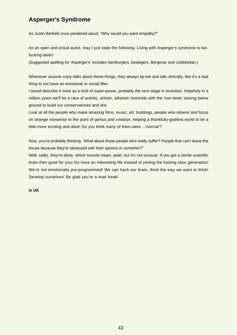### <span id="page-43-0"></span>**Asperger's Syndrome**

As Justin Berfield once pondered aloud, "Why would you want empathy?"

As an open and proud autist, may I just state the following. Living with Asperger's syndrome is fanfucking-tastic!

(Suggested spelling for 'Asperger's' includes hamburgers, besiegers, Bergerac and Uzbekistan.)

Whenever anyone coyly talks about these things, they always tip-toe and talk clinically, like it's a bad thing to not have an emotional or social filter.

I would describe it more as a kind of super-power, probably the next stage in evolution. Hopefully in a million years we'll be a race of autistic, artistic, atheistic hominids with the 'non-tards' slaving below ground to build our conservatories and shit.

Look at all the people who make amazing films, music, art, buildings, people who obsess and focus on strange nonsense to the point of genius and creation, helping a thankfully-godless world to be a little more exciting and alive! Do you think many of them were ...'normal'?

Now, you're probably thinking, 'What about those people who really suffer? People that can't leave the house because they're obsessed with their spoons or somethin'?'

Well, sadly, they're idiots, which sounds mean, yeah, but it's not unusual. If you got a sterile scientific brain then good for you! Go have an interesting life instead of joining the fucking xbox generation! We're not emotionally pre-programmed! We can hack our brain, think the way we want to think! Develop ourselves! Be glad you're a mad freak!

#### **In UK**